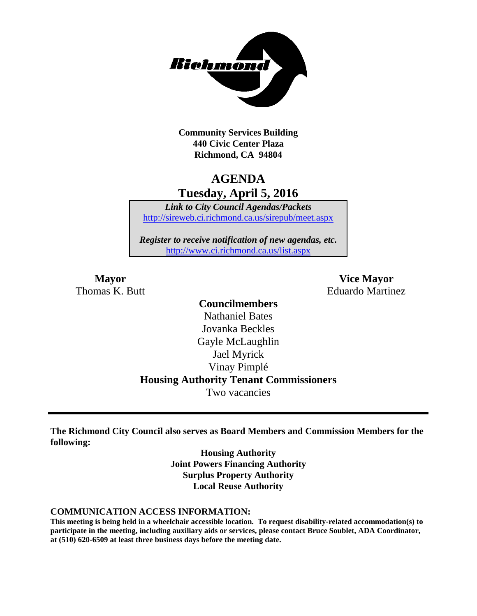

**Community Services Building 440 Civic Center Plaza Richmond, CA 94804**

# **AGENDA Tuesday, April 5, 2016**

*Link to City Council Agendas/Packets* <http://sireweb.ci.richmond.ca.us/sirepub/meet.aspx>

*Register to receive notification of new agendas, etc.* <http://www.ci.richmond.ca.us/list.aspx>

**Mayor Vice Mayor** Thomas K. Butt **Eduardo Martinez** 

## **Councilmembers** Nathaniel Bates Jovanka Beckles Gayle McLaughlin Jael Myrick Vinay Pimplé **Housing Authority Tenant Commissioners** Two vacancies

**The Richmond City Council also serves as Board Members and Commission Members for the following:**

> **Housing Authority Joint Powers Financing Authority Surplus Property Authority Local Reuse Authority**

#### **COMMUNICATION ACCESS INFORMATION:**

**This meeting is being held in a wheelchair accessible location. To request disability-related accommodation(s) to participate in the meeting, including auxiliary aids or services, please contact Bruce Soublet, ADA Coordinator, at (510) 620-6509 at least three business days before the meeting date.**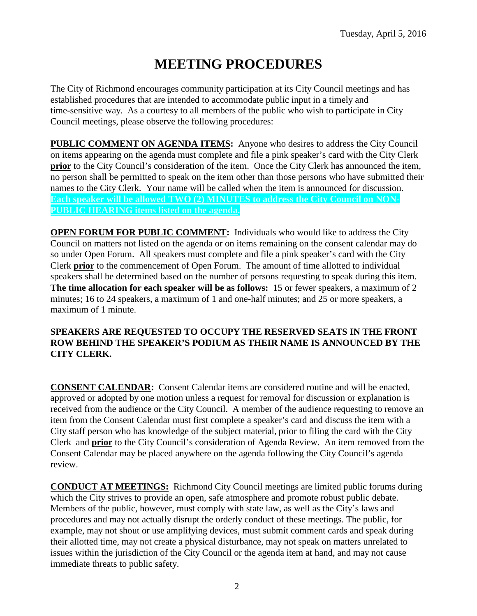# **MEETING PROCEDURES**

The City of Richmond encourages community participation at its City Council meetings and has established procedures that are intended to accommodate public input in a timely and time-sensitive way. As a courtesy to all members of the public who wish to participate in City Council meetings, please observe the following procedures:

**PUBLIC COMMENT ON AGENDA ITEMS:** Anyone who desires to address the City Council on items appearing on the agenda must complete and file a pink speaker's card with the City Clerk **prior** to the City Council's consideration of the item. Once the City Clerk has announced the item, no person shall be permitted to speak on the item other than those persons who have submitted their names to the City Clerk. Your name will be called when the item is announced for discussion. **Each speaker will be allowed TWO (2) MINUTES to address the City Council on NON-PUBLIC HEARING items listed on the agenda.**

**OPEN FORUM FOR PUBLIC COMMENT:** Individuals who would like to address the City Council on matters not listed on the agenda or on items remaining on the consent calendar may do so under Open Forum. All speakers must complete and file a pink speaker's card with the City Clerk **prior** to the commencement of Open Forum. The amount of time allotted to individual speakers shall be determined based on the number of persons requesting to speak during this item. **The time allocation for each speaker will be as follows:** 15 or fewer speakers, a maximum of 2 minutes; 16 to 24 speakers, a maximum of 1 and one-half minutes; and 25 or more speakers, a maximum of 1 minute.

### **SPEAKERS ARE REQUESTED TO OCCUPY THE RESERVED SEATS IN THE FRONT ROW BEHIND THE SPEAKER'S PODIUM AS THEIR NAME IS ANNOUNCED BY THE CITY CLERK.**

**CONSENT CALENDAR:** Consent Calendar items are considered routine and will be enacted, approved or adopted by one motion unless a request for removal for discussion or explanation is received from the audience or the City Council. A member of the audience requesting to remove an item from the Consent Calendar must first complete a speaker's card and discuss the item with a City staff person who has knowledge of the subject material, prior to filing the card with the City Clerk and **prior** to the City Council's consideration of Agenda Review. An item removed from the Consent Calendar may be placed anywhere on the agenda following the City Council's agenda review.

**CONDUCT AT MEETINGS:** Richmond City Council meetings are limited public forums during which the City strives to provide an open, safe atmosphere and promote robust public debate. Members of the public, however, must comply with state law, as well as the City's laws and procedures and may not actually disrupt the orderly conduct of these meetings. The public, for example, may not shout or use amplifying devices, must submit comment cards and speak during their allotted time, may not create a physical disturbance, may not speak on matters unrelated to issues within the jurisdiction of the City Council or the agenda item at hand, and may not cause immediate threats to public safety.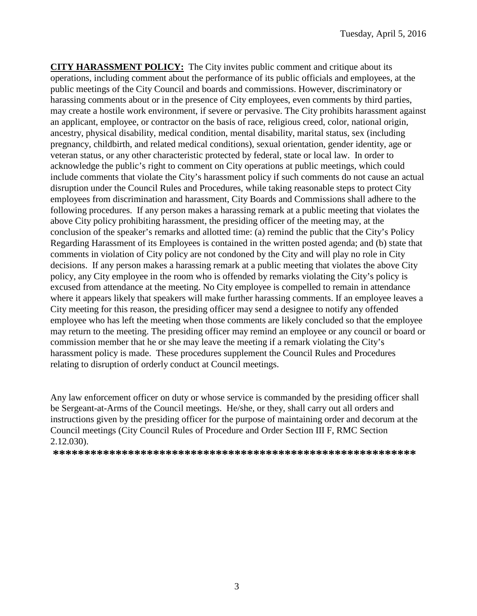**CITY HARASSMENT POLICY:** The City invites public comment and critique about its operations, including comment about the performance of its public officials and employees, at the public meetings of the City Council and boards and commissions. However, discriminatory or harassing comments about or in the presence of City employees, even comments by third parties, may create a hostile work environment, if severe or pervasive. The City prohibits harassment against an applicant, employee, or contractor on the basis of race, religious creed, color, national origin, ancestry, physical disability, medical condition, mental disability, marital status, sex (including pregnancy, childbirth, and related medical conditions), sexual orientation, gender identity, age or veteran status, or any other characteristic protected by federal, state or local law. In order to acknowledge the public's right to comment on City operations at public meetings, which could include comments that violate the City's harassment policy if such comments do not cause an actual disruption under the Council Rules and Procedures, while taking reasonable steps to protect City employees from discrimination and harassment, City Boards and Commissions shall adhere to the following procedures. If any person makes a harassing remark at a public meeting that violates the above City policy prohibiting harassment, the presiding officer of the meeting may, at the conclusion of the speaker's remarks and allotted time: (a) remind the public that the City's Policy Regarding Harassment of its Employees is contained in the written posted agenda; and (b) state that comments in violation of City policy are not condoned by the City and will play no role in City decisions. If any person makes a harassing remark at a public meeting that violates the above City policy, any City employee in the room who is offended by remarks violating the City's policy is excused from attendance at the meeting. No City employee is compelled to remain in attendance where it appears likely that speakers will make further harassing comments. If an employee leaves a City meeting for this reason, the presiding officer may send a designee to notify any offended employee who has left the meeting when those comments are likely concluded so that the employee may return to the meeting. The presiding officer may remind an employee or any council or board or commission member that he or she may leave the meeting if a remark violating the City's harassment policy is made. These procedures supplement the Council Rules and Procedures relating to disruption of orderly conduct at Council meetings.

Any law enforcement officer on duty or whose service is commanded by the presiding officer shall be Sergeant-at-Arms of the Council meetings. He/she, or they, shall carry out all orders and instructions given by the presiding officer for the purpose of maintaining order and decorum at the Council meetings (City Council Rules of Procedure and Order Section III F, RMC Section 2.12.030).

**\*\*\*\*\*\*\*\*\*\*\*\*\*\*\*\*\*\*\*\*\*\*\*\*\*\*\*\*\*\*\*\*\*\*\*\*\*\*\*\*\*\*\*\*\*\*\*\*\*\*\*\*\*\*\*\*\*\***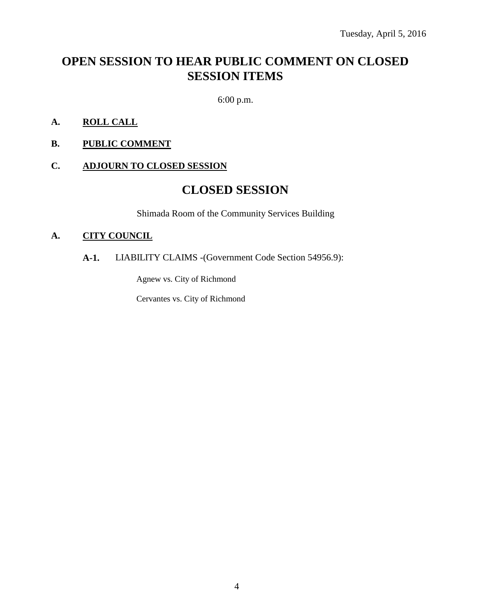# **OPEN SESSION TO HEAR PUBLIC COMMENT ON CLOSED SESSION ITEMS**

6:00 p.m.

- **A. ROLL CALL**
- **B. PUBLIC COMMENT**

### **C. ADJOURN TO CLOSED SESSION**

## **CLOSED SESSION**

Shimada Room of the Community Services Building

#### **A. CITY COUNCIL**

### **A-1.** LIABILITY CLAIMS -(Government Code Section 54956.9):

Agnew vs. City of Richmond

Cervantes vs. City of Richmond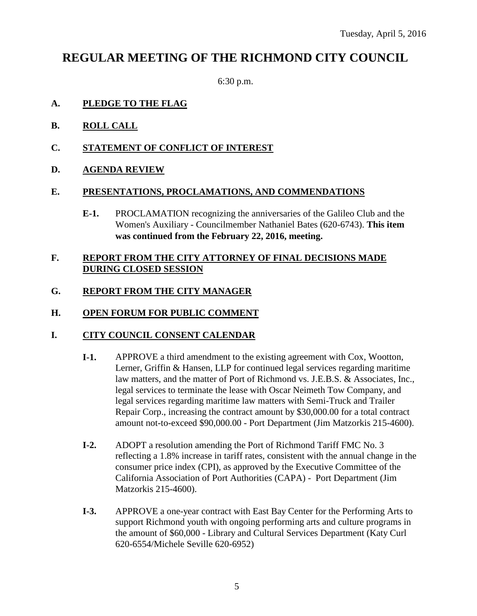# **REGULAR MEETING OF THE RICHMOND CITY COUNCIL**

6:30 p.m.

### **A. PLEDGE TO THE FLAG**

- **B. ROLL CALL**
- **C. STATEMENT OF CONFLICT OF INTEREST**
- **D. AGENDA REVIEW**

### **E. PRESENTATIONS, PROCLAMATIONS, AND COMMENDATIONS**

**E-1.** PROCLAMATION recognizing the anniversaries of the Galileo Club and the Women's Auxiliary - Councilmember Nathaniel Bates (620-6743). **This item was continued from the February 22, 2016, meeting.**

### **F. REPORT FROM THE CITY ATTORNEY OF FINAL DECISIONS MADE DURING CLOSED SESSION**

### **G. REPORT FROM THE CITY MANAGER**

### **H. OPEN FORUM FOR PUBLIC COMMENT**

### **I. CITY COUNCIL CONSENT CALENDAR**

- **I-1.** APPROVE a third amendment to the existing agreement with Cox, Wootton, Lerner, Griffin & Hansen, LLP for continued legal services regarding maritime law matters, and the matter of Port of Richmond vs. J.E.B.S. & Associates, Inc., legal services to terminate the lease with Oscar Neimeth Tow Company, and legal services regarding maritime law matters with Semi-Truck and Trailer Repair Corp., increasing the contract amount by \$30,000.00 for a total contract amount not-to-exceed \$90,000.00 - Port Department (Jim Matzorkis 215-4600).
- **I-2.** ADOPT a resolution amending the Port of Richmond Tariff FMC No. 3 reflecting a 1.8% increase in tariff rates, consistent with the annual change in the consumer price index (CPI), as approved by the Executive Committee of the California Association of Port Authorities (CAPA) - Port Department (Jim Matzorkis 215-4600).
- **I-3.** APPROVE a one-year contract with East Bay Center for the Performing Arts to support Richmond youth with ongoing performing arts and culture programs in the amount of \$60,000 - Library and Cultural Services Department (Katy Curl 620-6554/Michele Seville 620-6952)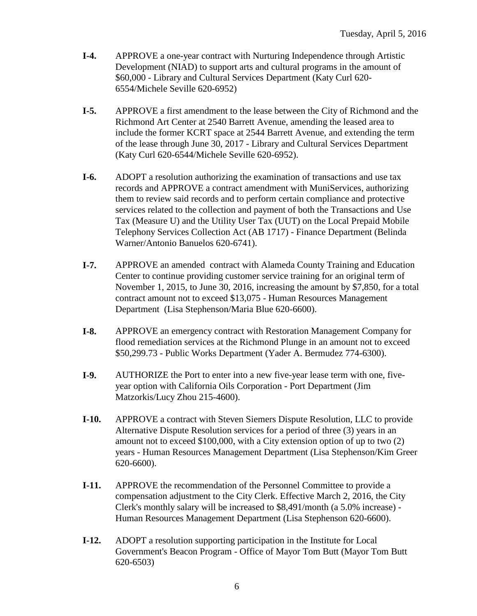- **I-4.** APPROVE a one-year contract with Nurturing Independence through Artistic Development (NIAD) to support arts and cultural programs in the amount of \$60,000 - Library and Cultural Services Department (Katy Curl 620- 6554/Michele Seville 620-6952)
- **I-5.** APPROVE a first amendment to the lease between the City of Richmond and the Richmond Art Center at 2540 Barrett Avenue, amending the leased area to include the former KCRT space at 2544 Barrett Avenue, and extending the term of the lease through June 30, 2017 - Library and Cultural Services Department (Katy Curl 620-6544/Michele Seville 620-6952).
- **I-6.** ADOPT a resolution authorizing the examination of transactions and use tax records and APPROVE a contract amendment with MuniServices, authorizing them to review said records and to perform certain compliance and protective services related to the collection and payment of both the Transactions and Use Tax (Measure U) and the Utility User Tax (UUT) on the Local Prepaid Mobile Telephony Services Collection Act (AB 1717) - Finance Department (Belinda Warner/Antonio Banuelos 620-6741).
- **I-7.** APPROVE an amended contract with Alameda County Training and Education Center to continue providing customer service training for an original term of November 1, 2015, to June 30, 2016, increasing the amount by \$7,850, for a total contract amount not to exceed \$13,075 - Human Resources Management Department (Lisa Stephenson/Maria Blue 620-6600).
- **I-8.** APPROVE an emergency contract with Restoration Management Company for flood remediation services at the Richmond Plunge in an amount not to exceed \$50,299.73 - Public Works Department (Yader A. Bermudez 774-6300).
- **I-9.** AUTHORIZE the Port to enter into a new five-year lease term with one, fiveyear option with California Oils Corporation - Port Department (Jim Matzorkis/Lucy Zhou 215-4600).
- **I-10.** APPROVE a contract with Steven Siemers Dispute Resolution, LLC to provide Alternative Dispute Resolution services for a period of three (3) years in an amount not to exceed \$100,000, with a City extension option of up to two (2) years - Human Resources Management Department (Lisa Stephenson/Kim Greer 620-6600).
- **I-11.** APPROVE the recommendation of the Personnel Committee to provide a compensation adjustment to the City Clerk. Effective March 2, 2016, the City Clerk's monthly salary will be increased to \$8,491/month (a 5.0% increase) - Human Resources Management Department (Lisa Stephenson 620-6600).
- **I-12.** ADOPT a resolution supporting participation in the Institute for Local Government's Beacon Program - Office of Mayor Tom Butt (Mayor Tom Butt 620-6503)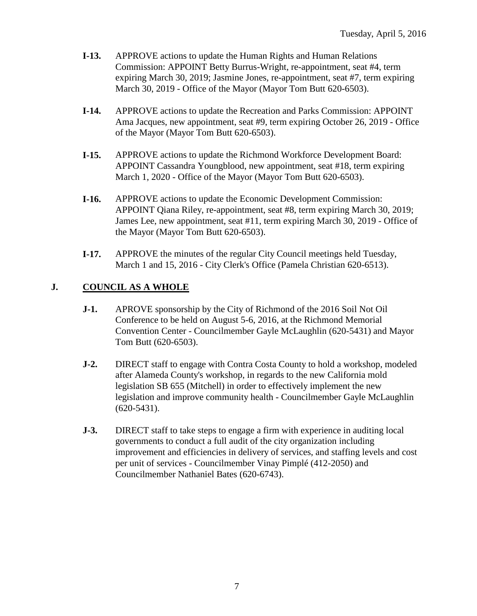- **I-13.** APPROVE actions to update the Human Rights and Human Relations Commission: APPOINT Betty Burrus-Wright, re-appointment, seat #4, term expiring March 30, 2019; Jasmine Jones, re-appointment, seat #7, term expiring March 30, 2019 - Office of the Mayor (Mayor Tom Butt 620-6503).
- **I-14.** APPROVE actions to update the Recreation and Parks Commission: APPOINT Ama Jacques, new appointment, seat #9, term expiring October 26, 2019 - Office of the Mayor (Mayor Tom Butt 620-6503).
- **I-15.** APPROVE actions to update the Richmond Workforce Development Board: APPOINT Cassandra Youngblood, new appointment, seat #18, term expiring March 1, 2020 - Office of the Mayor (Mayor Tom Butt 620-6503).
- **I-16.** APPROVE actions to update the Economic Development Commission: APPOINT Qiana Riley, re-appointment, seat #8, term expiring March 30, 2019; James Lee, new appointment, seat #11, term expiring March 30, 2019 - Office of the Mayor (Mayor Tom Butt 620-6503).
- **I-17.** APPROVE the minutes of the regular City Council meetings held Tuesday, March 1 and 15, 2016 - City Clerk's Office (Pamela Christian 620-6513).

### **J. COUNCIL AS A WHOLE**

- **J-1.** APROVE sponsorship by the City of Richmond of the 2016 Soil Not Oil Conference to be held on August 5-6, 2016, at the Richmond Memorial Convention Center - Councilmember Gayle McLaughlin (620-5431) and Mayor Tom Butt (620-6503).
- **J-2.** DIRECT staff to engage with Contra Costa County to hold a workshop, modeled after Alameda County's workshop, in regards to the new California mold legislation SB 655 (Mitchell) in order to effectively implement the new legislation and improve community health - Councilmember Gayle McLaughlin (620-5431).
- **J-3.** DIRECT staff to take steps to engage a firm with experience in auditing local governments to conduct a full audit of the city organization including improvement and efficiencies in delivery of services, and staffing levels and cost per unit of services - Councilmember Vinay Pimplé (412-2050) and Councilmember Nathaniel Bates (620-6743).